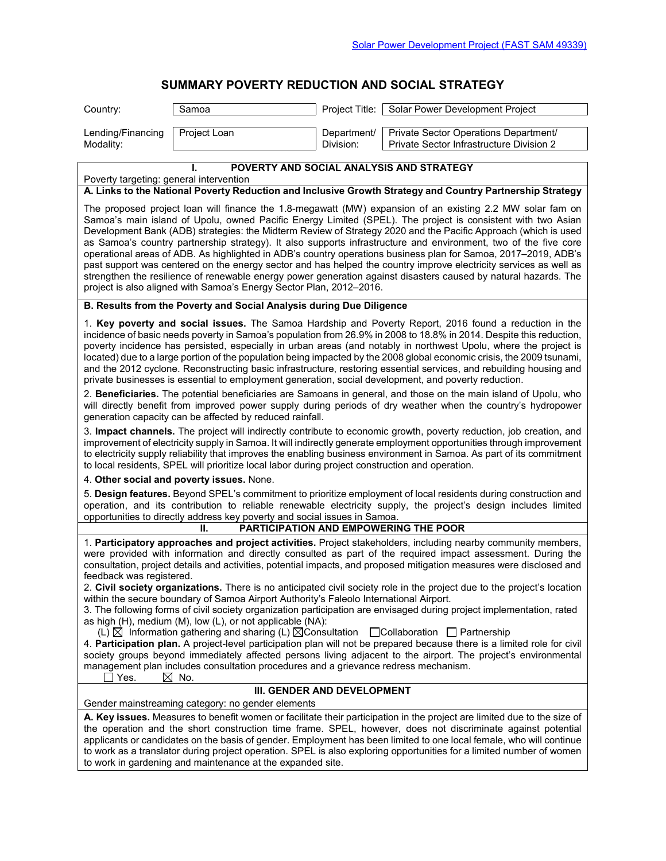## **SUMMARY POVERTY REDUCTION AND SOCIAL STRATEGY**

|                                                                                                                                                                                                                                                                                                                                                                                                                                                                                                                                                                                                                                                                                                                                                                                                                                                                                                | UNINAN I FUVENTI NEDUCTIUN AND JUCIAE JINATEUT    |                          |                                                                                   |  |  |  |  |
|------------------------------------------------------------------------------------------------------------------------------------------------------------------------------------------------------------------------------------------------------------------------------------------------------------------------------------------------------------------------------------------------------------------------------------------------------------------------------------------------------------------------------------------------------------------------------------------------------------------------------------------------------------------------------------------------------------------------------------------------------------------------------------------------------------------------------------------------------------------------------------------------|---------------------------------------------------|--------------------------|-----------------------------------------------------------------------------------|--|--|--|--|
| Country:                                                                                                                                                                                                                                                                                                                                                                                                                                                                                                                                                                                                                                                                                                                                                                                                                                                                                       | Samoa                                             | Project Title:           | Solar Power Development Project                                                   |  |  |  |  |
| Lending/Financing<br>Modality:                                                                                                                                                                                                                                                                                                                                                                                                                                                                                                                                                                                                                                                                                                                                                                                                                                                                 | Project Loan                                      | Department/<br>Division: | Private Sector Operations Department/<br>Private Sector Infrastructure Division 2 |  |  |  |  |
|                                                                                                                                                                                                                                                                                                                                                                                                                                                                                                                                                                                                                                                                                                                                                                                                                                                                                                |                                                   |                          |                                                                                   |  |  |  |  |
| POVERTY AND SOCIAL ANALYSIS AND STRATEGY<br>Poverty targeting: general intervention                                                                                                                                                                                                                                                                                                                                                                                                                                                                                                                                                                                                                                                                                                                                                                                                            |                                                   |                          |                                                                                   |  |  |  |  |
| A. Links to the National Poverty Reduction and Inclusive Growth Strategy and Country Partnership Strategy                                                                                                                                                                                                                                                                                                                                                                                                                                                                                                                                                                                                                                                                                                                                                                                      |                                                   |                          |                                                                                   |  |  |  |  |
| The proposed project loan will finance the 1.8-megawatt (MW) expansion of an existing 2.2 MW solar fam on<br>Samoa's main island of Upolu, owned Pacific Energy Limited (SPEL). The project is consistent with two Asian<br>Development Bank (ADB) strategies: the Midterm Review of Strategy 2020 and the Pacific Approach (which is used<br>as Samoa's country partnership strategy). It also supports infrastructure and environment, two of the five core<br>operational areas of ADB. As highlighted in ADB's country operations business plan for Samoa, 2017-2019, ADB's<br>past support was centered on the energy sector and has helped the country improve electricity services as well as<br>strengthen the resilience of renewable energy power generation against disasters caused by natural hazards. The<br>project is also aligned with Samoa's Energy Sector Plan, 2012-2016. |                                                   |                          |                                                                                   |  |  |  |  |
| B. Results from the Poverty and Social Analysis during Due Diligence                                                                                                                                                                                                                                                                                                                                                                                                                                                                                                                                                                                                                                                                                                                                                                                                                           |                                                   |                          |                                                                                   |  |  |  |  |
| 1. Key poverty and social issues. The Samoa Hardship and Poverty Report, 2016 found a reduction in the<br>incidence of basic needs poverty in Samoa's population from 26.9% in 2008 to 18.8% in 2014. Despite this reduction,<br>poverty incidence has persisted, especially in urban areas (and notably in northwest Upolu, where the project is<br>located) due to a large portion of the population being impacted by the 2008 global economic crisis, the 2009 tsunami,<br>and the 2012 cyclone. Reconstructing basic infrastructure, restoring essential services, and rebuilding housing and<br>private businesses is essential to employment generation, social development, and poverty reduction.                                                                                                                                                                                     |                                                   |                          |                                                                                   |  |  |  |  |
| 2. Beneficiaries. The potential beneficiaries are Samoans in general, and those on the main island of Upolu, who<br>will directly benefit from improved power supply during periods of dry weather when the country's hydropower<br>generation capacity can be affected by reduced rainfall.                                                                                                                                                                                                                                                                                                                                                                                                                                                                                                                                                                                                   |                                                   |                          |                                                                                   |  |  |  |  |
| 3. Impact channels. The project will indirectly contribute to economic growth, poverty reduction, job creation, and<br>improvement of electricity supply in Samoa. It will indirectly generate employment opportunities through improvement<br>to electricity supply reliability that improves the enabling business environment in Samoa. As part of its commitment<br>to local residents, SPEL will prioritize local labor during project construction and operation.                                                                                                                                                                                                                                                                                                                                                                                                                        |                                                   |                          |                                                                                   |  |  |  |  |
| 4. Other social and poverty issues. None.                                                                                                                                                                                                                                                                                                                                                                                                                                                                                                                                                                                                                                                                                                                                                                                                                                                      |                                                   |                          |                                                                                   |  |  |  |  |
| 5. Design features. Beyond SPEL's commitment to prioritize employment of local residents during construction and<br>operation, and its contribution to reliable renewable electricity supply, the project's design includes limited<br>opportunities to directly address key poverty and social issues in Samoa.<br>PARTICIPATION AND EMPOWERING THE POOR                                                                                                                                                                                                                                                                                                                                                                                                                                                                                                                                      |                                                   |                          |                                                                                   |  |  |  |  |
|                                                                                                                                                                                                                                                                                                                                                                                                                                                                                                                                                                                                                                                                                                                                                                                                                                                                                                | П.                                                |                          |                                                                                   |  |  |  |  |
| 1. Participatory approaches and project activities. Project stakeholders, including nearby community members,<br>were provided with information and directly consulted as part of the required impact assessment. During the<br>consultation, project details and activities, potential impacts, and proposed mitigation measures were disclosed and<br>feedback was registered.                                                                                                                                                                                                                                                                                                                                                                                                                                                                                                               |                                                   |                          |                                                                                   |  |  |  |  |
| 2. Civil society organizations. There is no anticipated civil society role in the project due to the project's location<br>within the secure boundary of Samoa Airport Authority's Faleolo International Airport.<br>3. The following forms of civil society organization participation are envisaged during project implementation, rated<br>as high (H), medium (M), low (L), or not applicable (NA):                                                                                                                                                                                                                                                                                                                                                                                                                                                                                        |                                                   |                          |                                                                                   |  |  |  |  |
| (L) $\boxtimes$ Information gathering and sharing (L) $\boxtimes$ Consultation $\Box$ Collaboration $\Box$ Partnership<br>4. Participation plan. A project-level participation plan will not be prepared because there is a limited role for civil<br>society groups beyond immediately affected persons living adjacent to the airport. The project's environmental<br>management plan includes consultation procedures and a grievance redress mechanism.<br>Yes.<br>$\boxtimes$ No.                                                                                                                                                                                                                                                                                                                                                                                                         |                                                   |                          |                                                                                   |  |  |  |  |
| III. GENDER AND DEVELOPMENT                                                                                                                                                                                                                                                                                                                                                                                                                                                                                                                                                                                                                                                                                                                                                                                                                                                                    |                                                   |                          |                                                                                   |  |  |  |  |
|                                                                                                                                                                                                                                                                                                                                                                                                                                                                                                                                                                                                                                                                                                                                                                                                                                                                                                | Gender mainstreaming category: no gender elements |                          |                                                                                   |  |  |  |  |
| A. Key issues. Measures to benefit women or facilitate their participation in the project are limited due to the size of<br>the operation and the short construction time frame. SPEL, however, does not discriminate against potential<br>applicants or candidates on the basis of gender. Employment has been limited to one local female, who will continue<br>to work as a translator during project operation. SPEL is also exploring opportunities for a limited number of women<br>to work in gardening and maintenance at the expanded site.                                                                                                                                                                                                                                                                                                                                           |                                                   |                          |                                                                                   |  |  |  |  |
|                                                                                                                                                                                                                                                                                                                                                                                                                                                                                                                                                                                                                                                                                                                                                                                                                                                                                                |                                                   |                          |                                                                                   |  |  |  |  |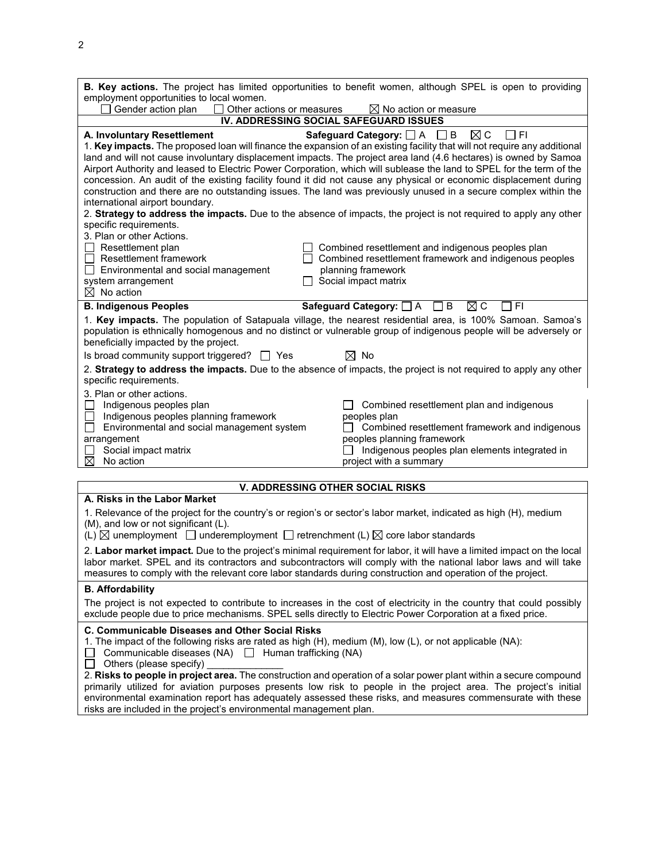2

| B. Key actions. The project has limited opportunities to benefit women, although SPEL is open to providing<br>employment opportunities to local women.                                                                                                                                                                                                                                                                                                                                                                                                                                                                                                                                                                                                                                                                                                                                                                                                                                                                 |  |  |  |  |  |  |  |
|------------------------------------------------------------------------------------------------------------------------------------------------------------------------------------------------------------------------------------------------------------------------------------------------------------------------------------------------------------------------------------------------------------------------------------------------------------------------------------------------------------------------------------------------------------------------------------------------------------------------------------------------------------------------------------------------------------------------------------------------------------------------------------------------------------------------------------------------------------------------------------------------------------------------------------------------------------------------------------------------------------------------|--|--|--|--|--|--|--|
| Gender action plan<br>Other actions or measures<br>$\boxtimes$ No action or measure                                                                                                                                                                                                                                                                                                                                                                                                                                                                                                                                                                                                                                                                                                                                                                                                                                                                                                                                    |  |  |  |  |  |  |  |
| IV. ADDRESSING SOCIAL SAFEGUARD ISSUES                                                                                                                                                                                                                                                                                                                                                                                                                                                                                                                                                                                                                                                                                                                                                                                                                                                                                                                                                                                 |  |  |  |  |  |  |  |
| $\boxtimes$ C<br>A. Involuntary Resettlement<br>Safeguard Category: $\Box A$ $\Box B$<br>l IFI<br>1. Key impacts. The proposed loan will finance the expansion of an existing facility that will not require any additional<br>land and will not cause involuntary displacement impacts. The project area land (4.6 hectares) is owned by Samoa<br>Airport Authority and leased to Electric Power Corporation, which will sublease the land to SPEL for the term of the<br>concession. An audit of the existing facility found it did not cause any physical or economic displacement during<br>construction and there are no outstanding issues. The land was previously unused in a secure complex within the<br>international airport boundary.<br>2. Strategy to address the impacts. Due to the absence of impacts, the project is not required to apply any other<br>specific requirements.<br>3. Plan or other Actions.<br>$\Box$ Resettlement plan<br>$\Box$ Combined resettlement and indigenous peoples plan |  |  |  |  |  |  |  |
| $\Box$ Resettlement framework<br>$\Box$ Combined resettlement framework and indigenous peoples                                                                                                                                                                                                                                                                                                                                                                                                                                                                                                                                                                                                                                                                                                                                                                                                                                                                                                                         |  |  |  |  |  |  |  |
| planning framework<br>$\Box$ Environmental and social management<br>system arrangement<br>$\Box$ Social impact matrix<br>$\boxtimes$ No action                                                                                                                                                                                                                                                                                                                                                                                                                                                                                                                                                                                                                                                                                                                                                                                                                                                                         |  |  |  |  |  |  |  |
| <b>B. Indigenous Peoples</b><br>Safeguard Category: $\Box$ A $\Box$ B<br>$\boxtimes$ C<br>7 FI                                                                                                                                                                                                                                                                                                                                                                                                                                                                                                                                                                                                                                                                                                                                                                                                                                                                                                                         |  |  |  |  |  |  |  |
| 1. Key impacts. The population of Satapuala village, the nearest residential area, is 100% Samoan. Samoa's<br>population is ethnically homogenous and no distinct or vulnerable group of indigenous people will be adversely or<br>beneficially impacted by the project.                                                                                                                                                                                                                                                                                                                                                                                                                                                                                                                                                                                                                                                                                                                                               |  |  |  |  |  |  |  |
| Is broad community support triggered? $\Box$ Yes<br>$\boxtimes$ No                                                                                                                                                                                                                                                                                                                                                                                                                                                                                                                                                                                                                                                                                                                                                                                                                                                                                                                                                     |  |  |  |  |  |  |  |
| 2. Strategy to address the impacts. Due to the absence of impacts, the project is not required to apply any other<br>specific requirements.                                                                                                                                                                                                                                                                                                                                                                                                                                                                                                                                                                                                                                                                                                                                                                                                                                                                            |  |  |  |  |  |  |  |
| 3. Plan or other actions.<br>Indigenous peoples plan<br>Combined resettlement plan and indigenous<br>Indigenous peoples planning framework<br>peoples plan<br>Environmental and social management system<br>Combined resettlement framework and indigenous<br>arrangement<br>peoples planning framework<br>Social impact matrix<br>$\Box$ Indigenous peoples plan elements integrated in<br>⊠<br>No action<br>project with a summary                                                                                                                                                                                                                                                                                                                                                                                                                                                                                                                                                                                   |  |  |  |  |  |  |  |
|                                                                                                                                                                                                                                                                                                                                                                                                                                                                                                                                                                                                                                                                                                                                                                                                                                                                                                                                                                                                                        |  |  |  |  |  |  |  |
| <b>V. ADDRESSING OTHER SOCIAL RISKS</b>                                                                                                                                                                                                                                                                                                                                                                                                                                                                                                                                                                                                                                                                                                                                                                                                                                                                                                                                                                                |  |  |  |  |  |  |  |
| A. Risks in the Labor Market<br>1. Relevance of the project for the country's or region's or sector's labor market, indicated as high (H), medium<br>(M), and low or not significant (L).<br>(L) $\boxtimes$ unemployment $\Box$ underemployment $\Box$ retrenchment (L) $\boxtimes$ core labor standards                                                                                                                                                                                                                                                                                                                                                                                                                                                                                                                                                                                                                                                                                                              |  |  |  |  |  |  |  |
| 2. Labor market impact. Due to the project's minimal requirement for labor, it will have a limited impact on the local<br>labor market. SPEL and its contractors and subcontractors will comply with the national labor laws and will take<br>measures to comply with the relevant core labor standards during construction and operation of the project.                                                                                                                                                                                                                                                                                                                                                                                                                                                                                                                                                                                                                                                              |  |  |  |  |  |  |  |
| <b>B.</b> Affordability                                                                                                                                                                                                                                                                                                                                                                                                                                                                                                                                                                                                                                                                                                                                                                                                                                                                                                                                                                                                |  |  |  |  |  |  |  |
| The project is not expected to contribute to increases in the cost of electricity in the country that could possibly<br>exclude people due to price mechanisms. SPEL sells directly to Electric Power Corporation at a fixed price.                                                                                                                                                                                                                                                                                                                                                                                                                                                                                                                                                                                                                                                                                                                                                                                    |  |  |  |  |  |  |  |
| C. Communicable Diseases and Other Social Risks<br>1. The impact of the following risks are rated as high (H), medium (M), low (L), or not applicable (NA):<br>Communicable diseases (NA) $\Box$ Human trafficking (NA)<br>Others (please specify) _____                                                                                                                                                                                                                                                                                                                                                                                                                                                                                                                                                                                                                                                                                                                                                               |  |  |  |  |  |  |  |

2. **Risks to people in project area.** The construction and operation of a solar power plant within a secure compound primarily utilized for aviation purposes presents low risk to people in the project area. The project's initial environmental examination report has adequately assessed these risks, and measures commensurate with these risks are included in the project's environmental management plan.